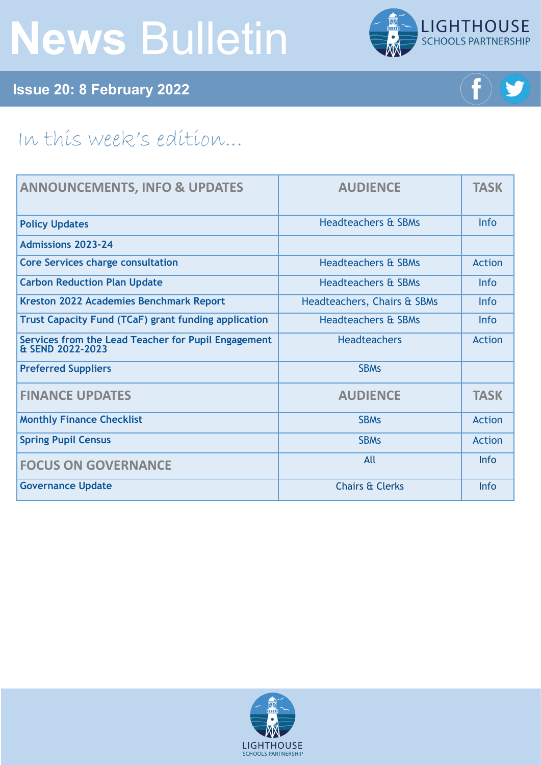# **News** Bulletin



**Issue 20: 8 February 2022**



## In this week's edition...

| <b>ANNOUNCEMENTS, INFO &amp; UPDATES</b>                                | <b>AUDIENCE</b>                | <b>TASK</b>   |
|-------------------------------------------------------------------------|--------------------------------|---------------|
| <b>Policy Updates</b>                                                   | <b>Headteachers &amp; SBMs</b> | <b>Info</b>   |
| <b>Admissions 2023-24</b>                                               |                                |               |
| <b>Core Services charge consultation</b>                                | <b>Headteachers &amp; SBMs</b> | Action        |
| <b>Carbon Reduction Plan Update</b>                                     | <b>Headteachers &amp; SBMs</b> | <b>Info</b>   |
| <b>Kreston 2022 Academies Benchmark Report</b>                          | Headteachers, Chairs & SBMs    | <b>Info</b>   |
| <b>Trust Capacity Fund (TCaF) grant funding application</b>             | <b>Headteachers &amp; SBMs</b> | <b>Info</b>   |
| Services from the Lead Teacher for Pupil Engagement<br>& SEND 2022-2023 | <b>Headteachers</b>            | <b>Action</b> |
| <b>Preferred Suppliers</b>                                              | <b>SBMs</b>                    |               |
| <b>FINANCE UPDATES</b>                                                  | <b>AUDIENCE</b>                | <b>TASK</b>   |
| <b>Monthly Finance Checklist</b>                                        | <b>SBMs</b>                    | Action        |
| <b>Spring Pupil Census</b>                                              | <b>SBMs</b>                    | <b>Action</b> |
| <b>FOCUS ON GOVERNANCE</b>                                              | All                            | <b>Info</b>   |
| <b>Governance Update</b>                                                | <b>Chairs &amp; Clerks</b>     | Info          |

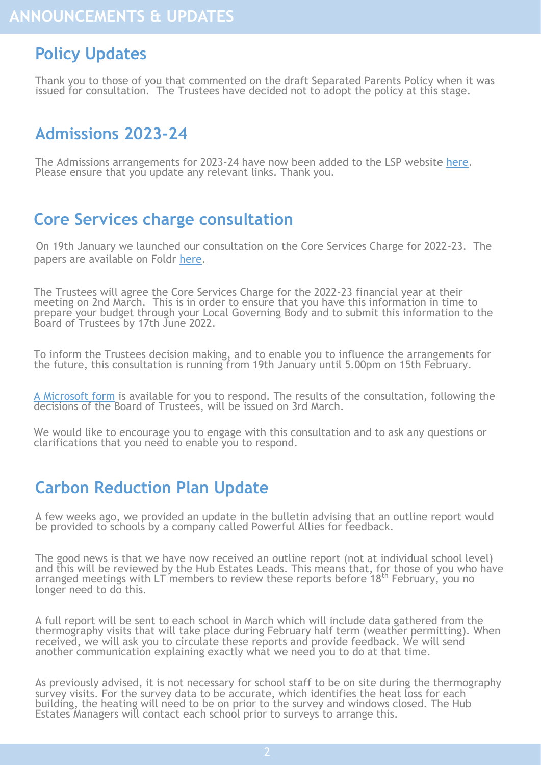## <span id="page-1-0"></span>**Policy Updates**

Thank you to those of you that commented on the draft Separated Parents Policy when it was issued for consultation. The Trustees have decided not to adopt the policy at this stage.

## **Admissions 2023-24**

The Admissions arrangements for 2023-24 have now been added to the LSP website [here.](https://www.lsp.org.uk/page/?title=Admissions&pid=25) Please ensure that you update any relevant links. Thank you.

## **Core Services charge consultation**

On 19th January we launched our consultation on the Core Services Charge for 2022-23. The papers are available on Foldr [here.](https://foldr.lsp.org.uk/public/NQZGN)

The Trustees will agree the Core Services Charge for the 2022-23 financial year at their meeting on 2nd March. This is in order to ensure that you have this information in time to prepare your budget through your Local Governing Body and to submit this information to the Board of Trustees by 17th June 2022.

To inform the Trustees decision making, and to enable you to influence the arrangements for the future, this consultation is running from 19th January until 5.00pm on 15th February.

[A Microsoft form](https://forms.office.com/pages/responsepage.aspx?id=-Iolp0FXrkKtRDgOpwxaAFjM96M_r6hEuOXxVo7qhHRURjRZTlMwUktONUtIT0RVUFlOWDhNWE5NNyQlQCN0PWcu) is available for you to respond. The results of the consultation, following the decisions of the Board of Trustees, will be issued on 3rd March.

We would like to encourage you to engage with this consultation and to ask any questions or clarifications that you need to enable you to respond.

### **Carbon Reduction Plan Update**

A few weeks ago, we provided an update in the bulletin advising that an outline report would be provided to schools by a company called Powerful Allies for feedback.

The good news is that we have now received an outline report (not at individual school level) and this will be reviewed by the Hub Estates Leads. This means that, for those of you who have arranged meetings with LT members to review these reports before 18<sup>th</sup> February, you no longer need to do this.

A full report will be sent to each school in March which will include data gathered from the thermography visits that will take place during February half term (weather permitting). When received, we will ask you to circulate these reports and provide feedback. We will send another communication explaining exactly what we need you to do at that time.

As previously advised, it is not necessary for school staff to be on site during the thermography survey visits. For the survey data to be accurate, which identifies the heat loss for each building, the heating will need to be on prior to the survey and windows closed. The Hub Estates Managers will contact each school prior to surveys to arrange this.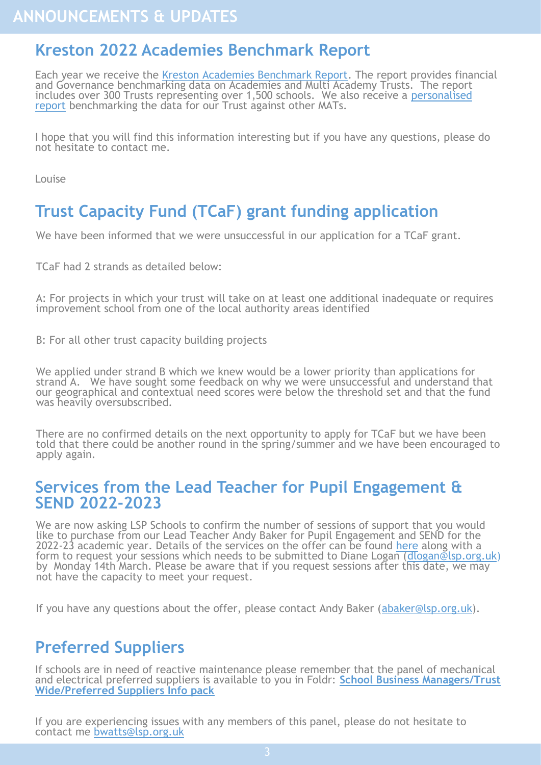## <span id="page-2-0"></span>**Kreston 2022 Academies Benchmark Report**

Each year we receive the [Kreston Academies Benchmark Report.](https://www.bishopfleming.co.uk/sites/default/files/2022-01/Kreston%20Academies%20Benchmark%20Report%202022.pdf) The report provides financial and Governance benchmarking data on Academies and Multi Academy Trusts. The report includes over 300 Trusts representing over 1,500 schools. We also receive a personalised [report](https://foldr.lsp.org.uk/public/NE5LP) benchmarking the data for our Trust against other MATs.

I hope that you will find this information interesting but if you have any questions, please do not hesitate to contact me.

Louise

## **Trust Capacity Fund (TCaF) grant funding application**

We have been informed that we were unsuccessful in our application for a TCaF grant.

TCaF had 2 strands as detailed below:

A: For projects in which your trust will take on at least one additional inadequate or requires improvement school from one of the local authority areas identified

B: For all other trust capacity building projects

We applied under strand B which we knew would be a lower priority than applications for strand A. We have sought some feedback on why we were unsuccessful and understand that our geographical and contextual need scores were below the threshold set and that the fund was heavily oversubscribed.

There are no confirmed details on the next opportunity to apply for TCaF but we have been told that there could be another round in the spring/summer and we have been encouraged to apply again.

#### **Services from the Lead Teacher for Pupil Engagement & SEND 2022-2023**

We are now asking LSP Schools to confirm the number of sessions of support that you would like to purchase from our Lead Teacher Andy Baker for Pupil Engagement and SEND for the 2022-23 academic year. Details of the services on the offer can be found <u>[here](https://foldr.lsp.org.uk/public/P0MGW)</u> along with a form to request your sessions which needs to be submitted to Diane Logan ([dlogan@lsp.org.uk\)](mailto:dlogan@lsp.org.uk) by Monday 14th March. Please be aware that if you request sessions after this date, we may not have the capacity to meet your request.

If you have any questions about the offer, please contact Andy Baker ([abaker@lsp.org.uk\)](mailto:abaker@lsp.org.uk).

## **Preferred Suppliers**

If schools are in need of reactive maintenance please remember that the panel of mechanical and electrical preferred suppliers is available to you in Foldr: **[School Business Managers/Trust](https://foldr.lsp.org.uk/public/W90BW)  [Wide/Preferred Suppliers Info pack](https://foldr.lsp.org.uk/public/W90BW)**

If you are experiencing issues with any members of this panel, please do not hesitate to contact me [bwatts@lsp.org.uk](mailto:bwatts@lsp.org.uk)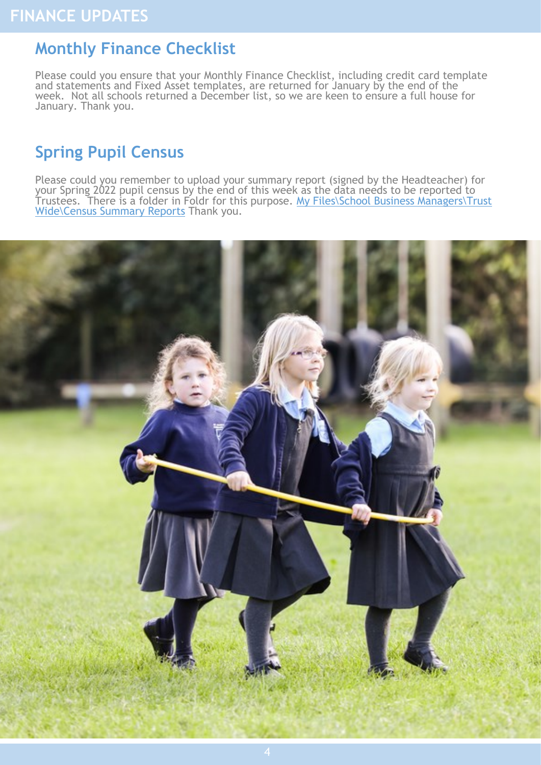## <span id="page-3-0"></span>**Monthly Finance Checklist**

Please could you ensure that your Monthly Finance Checklist, including credit card template and statements and Fixed Asset templates, are returned for January by the end of the week. Not all schools returned a December list, so we are keen to ensure a full house for January. Thank you.

## **Spring Pupil Census**

Please could you remember to upload your summary report (signed by the Headteacher) for your Spring 2022 pupil census by the end of this week as the data needs to be reported to Trustees. There is a folder in Foldr for this purpose. [My Files\School Business Managers\Trust](https://foldr.lsp.org.uk/public/NJ34W)  [Wide\Census Summary Reports](https://foldr.lsp.org.uk/public/NJ34W) Thank you.